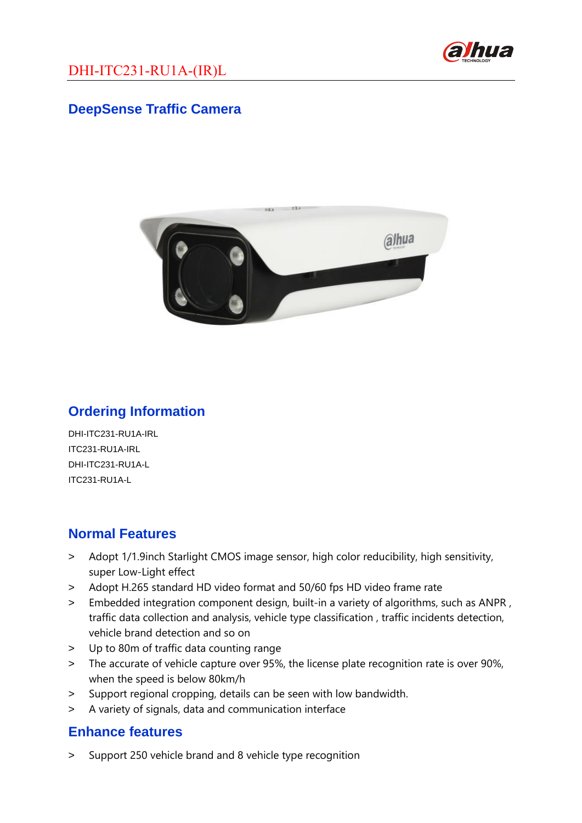

### **DeepSense Traffic Camera**



### **Ordering Information**

DHI-ITC231-RU1A-IRL ITC231-RU1A-IRL DHI-ITC231-RU1A-L ITC231-RU1A-L

### **Normal Features**

- > Adopt 1/1.9inch Starlight CMOS image sensor, high color reducibility, high sensitivity, super Low-Light effect
- > Adopt H.265 standard HD video format and 50/60 fps HD video frame rate
- > Embedded integration component design, built-in a variety of algorithms, such as ANPR , traffic data collection and analysis, vehicle type classification , traffic incidents detection, vehicle brand detection and so on
- > Up to 80m of traffic data counting range
- > The accurate of vehicle capture over 95%, the license plate recognition rate is over 90%, when the speed is below 80km/h
- > Support regional cropping, details can be seen with low bandwidth.
- > A variety of signals, data and communication interface

### **Enhance features**

> Support 250 vehicle brand and 8 vehicle type recognition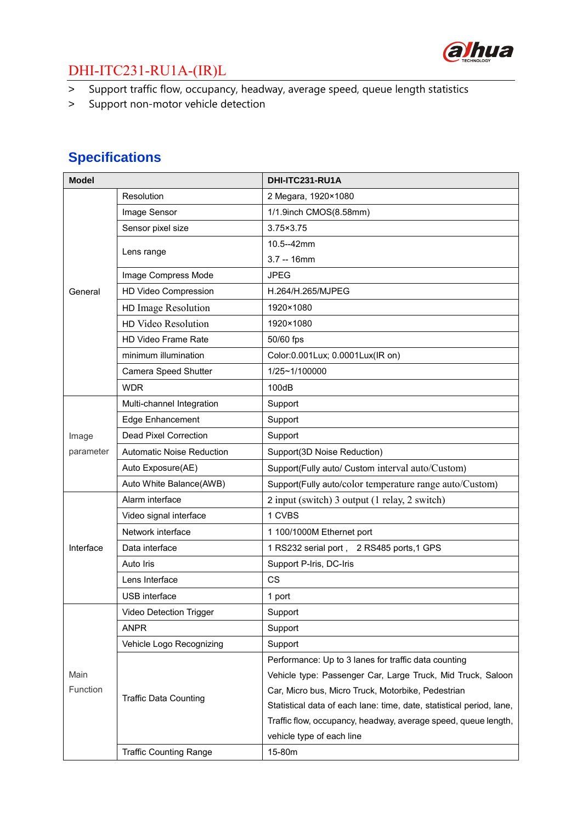

# DHI-ITC231-RU1A-(IR)L

- > Support traffic flow, occupancy, headway, average speed, queue length statistics
- > Support non-motor vehicle detection

## **Specifications**

| <b>Model</b>            |                                  | DHI-ITC231-RU1A                                                      |
|-------------------------|----------------------------------|----------------------------------------------------------------------|
| General                 | Resolution                       | 2 Megara, 1920×1080                                                  |
|                         | Image Sensor                     | 1/1.9inch CMOS(8.58mm)                                               |
|                         | Sensor pixel size                | $3.75 \times 3.75$                                                   |
|                         | Lens range                       | 10.5--42mm                                                           |
|                         |                                  | $3.7 - 16$ mm                                                        |
|                         | Image Compress Mode              | <b>JPEG</b>                                                          |
|                         | HD Video Compression             | H.264/H.265/MJPEG                                                    |
|                         | HD Image Resolution              | 1920×1080                                                            |
|                         | HD Video Resolution              | 1920×1080                                                            |
|                         | HD Video Frame Rate              | 50/60 fps                                                            |
|                         | minimum illumination             | Color: 0.001 Lux; 0.0001 Lux (IR on)                                 |
|                         | Camera Speed Shutter             | 1/25~1/100000                                                        |
|                         | <b>WDR</b>                       | 100dB                                                                |
| Image<br>parameter      | Multi-channel Integration        | Support                                                              |
|                         | <b>Edge Enhancement</b>          | Support                                                              |
|                         | <b>Dead Pixel Correction</b>     | Support                                                              |
|                         | <b>Automatic Noise Reduction</b> | Support(3D Noise Reduction)                                          |
|                         | Auto Exposure(AE)                | Support(Fully auto/ Custom interval auto/Custom)                     |
|                         | Auto White Balance(AWB)          | Support(Fully auto/color temperature range auto/Custom)              |
|                         | Alarm interface                  | 2 input (switch) 3 output (1 relay, 2 switch)                        |
|                         | Video signal interface           | 1 CVBS                                                               |
| Interface               | Network interface                | 1 100/1000M Ethernet port                                            |
|                         | Data interface                   | 1 RS232 serial port, 2 RS485 ports,1 GPS                             |
|                         | Auto Iris                        | Support P-Iris, DC-Iris                                              |
|                         | Lens Interface                   | <b>CS</b>                                                            |
|                         | USB interface                    | 1 port                                                               |
|                         | Video Detection Trigger          | Support                                                              |
|                         | <b>ANPR</b>                      | Support                                                              |
|                         | Vehicle Logo Recognizing         | Support                                                              |
|                         | <b>Traffic Data Counting</b>     | Performance: Up to 3 lanes for traffic data counting                 |
| Main<br><b>Function</b> |                                  | Vehicle type: Passenger Car, Large Truck, Mid Truck, Saloon          |
|                         |                                  | Car, Micro bus, Micro Truck, Motorbike, Pedestrian                   |
|                         |                                  | Statistical data of each lane: time, date, statistical period, lane, |
|                         |                                  | Traffic flow, occupancy, headway, average speed, queue length,       |
|                         |                                  | vehicle type of each line                                            |
|                         | <b>Traffic Counting Range</b>    | 15-80m                                                               |